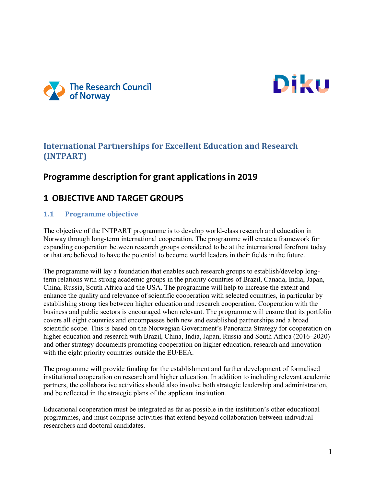



## **International Partnerships for Excellent Education and Research (INTPART)**

# **Programme description for grant applications in 2019**

# **1 OBJECTIVE AND TARGET GROUPS**

### **1.1 Programme objective**

The objective of the INTPART programme is to develop world-class research and education in Norway through long-term international cooperation. The programme will create a framework for expanding cooperation between research groups considered to be at the international forefront today or that are believed to have the potential to become world leaders in their fields in the future.

The programme will lay a foundation that enables such research groups to establish/develop longterm relations with strong academic groups in the priority countries of Brazil, Canada, India, Japan, China, Russia, South Africa and the USA. The programme will help to increase the extent and enhance the quality and relevance of scientific cooperation with selected countries, in particular by establishing strong ties between higher education and research cooperation. Cooperation with the business and public sectors is encouraged when relevant. The programme will ensure that its portfolio covers all eight countries and encompasses both new and established partnerships and a broad scientific scope. This is based on the Norwegian Government's Panorama Strategy for cooperation on higher education and research with Brazil, China, India, Japan, Russia and South Africa (2016–2020) and other strategy documents promoting cooperation on higher education, research and innovation with the eight priority countries outside the EU/EEA.

The programme will provide funding for the establishment and further development of formalised institutional cooperation on research and higher education. In addition to including relevant academic partners, the collaborative activities should also involve both strategic leadership and administration, and be reflected in the strategic plans of the applicant institution.

Educational cooperation must be integrated as far as possible in the institution's other educational programmes, and must comprise activities that extend beyond collaboration between individual researchers and doctoral candidates.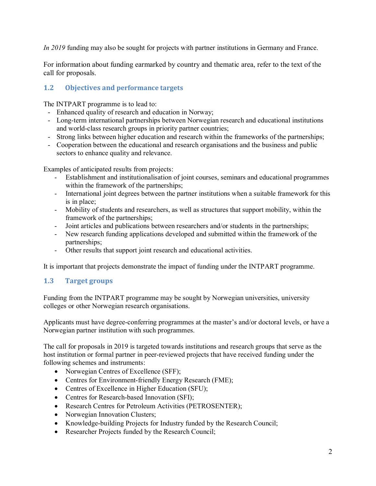*In 2019* funding may also be sought for projects with partner institutions in Germany and France.

For information about funding earmarked by country and thematic area, refer to the text of the call for proposals.

## **1.2 Objectives and performance targets**

The INTPART programme is to lead to:

- Enhanced quality of research and education in Norway;
- Long-term international partnerships between Norwegian research and educational institutions and world-class research groups in priority partner countries;
- Strong links between higher education and research within the frameworks of the partnerships;
- Cooperation between the educational and research organisations and the business and public sectors to enhance quality and relevance.

Examples of anticipated results from projects:

- Establishment and institutionalisation of joint courses, seminars and educational programmes within the framework of the partnerships;
- International joint degrees between the partner institutions when a suitable framework for this is in place;
- Mobility of students and researchers, as well as structures that support mobility, within the framework of the partnerships;
- Joint articles and publications between researchers and/or students in the partnerships;
- New research funding applications developed and submitted within the framework of the partnerships;
- Other results that support joint research and educational activities.

It is important that projects demonstrate the impact of funding under the INTPART programme.

#### **1.3 Target groups**

Funding from the INTPART programme may be sought by Norwegian universities, university colleges or other Norwegian research organisations.

Applicants must have degree-conferring programmes at the master's and/or doctoral levels, or have a Norwegian partner institution with such programmes.

The call for proposals in 2019 is targeted towards institutions and research groups that serve as the host institution or formal partner in peer-reviewed projects that have received funding under the following schemes and instruments:

- Norwegian Centres of Excellence (SFF);
- Centres for Environment-friendly Energy Research (FME);
- Centres of Excellence in Higher Education (SFU);
- Centres for Research-based Innovation (SFI);
- Research Centres for Petroleum Activities (PETROSENTER);
- Norwegian Innovation Clusters;
- Knowledge-building Projects for Industry funded by the Research Council;
- Researcher Projects funded by the Research Council;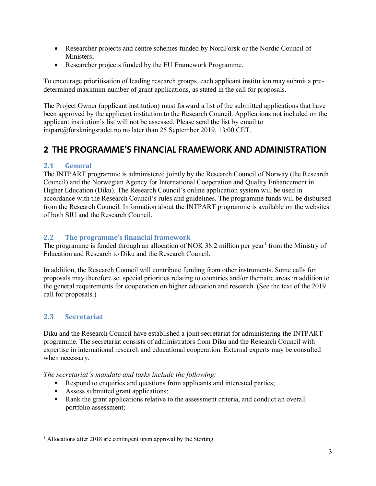- Researcher projects and centre schemes funded by NordForsk or the Nordic Council of Ministers;
- Researcher projects funded by the EU Framework Programme.

To encourage prioritisation of leading research groups, each applicant institution may submit a predetermined maximum number of grant applications, as stated in the call for proposals.

The Project Owner (applicant institution) must forward a list of the submitted applications that have been approved by the applicant institution to the Research Council. Applications not included on the applicant institution's list will not be assessed. Please send the list by email to intpart@forskningsradet.no no later than 25 September 2019, 13:00 CET.

# **2 THE PROGRAMME'S FINANCIAL FRAMEWORK AND ADMINISTRATION**

### **2.1 General**

The INTPART programme is administered jointly by the Research Council of Norway (the Research Council) and the Norwegian Agency for International Cooperation and Quality Enhancement in Higher Education (Diku). The Research Council's online application system will be used in accordance with the Research Council's rules and guidelines. The programme funds will be disbursed from the Research Council. Information about the INTPART programme is available on the websites of both SIU and the Research Council.

### **2.2 The programme's financial framework**

The programme is funded through an allocation of NOK 38.2 million per year<sup>[1](#page-2-0)</sup> from the Ministry of Education and Research to Diku and the Research Council.

In addition, the Research Council will contribute funding from other instruments. Some calls for proposals may therefore set special priorities relating to countries and/or thematic areas in addition to the general requirements for cooperation on higher education and research. (See the text of the 2019 call for proposals.)

## **2.3 Secretariat**

Diku and the Research Council have established a joint secretariat for administering the INTPART programme. The secretariat consists of administrators from Diku and the Research Council with expertise in international research and educational cooperation. External experts may be consulted when necessary.

*The secretariat's mandate and tasks include the following:*

- Respond to enquiries and questions from applicants and interested parties;
- Assess submitted grant applications;
- **Rank the grant applications relative to the assessment criteria, and conduct an overall** portfolio assessment;

<span id="page-2-0"></span> $1$  Allocations after 2018 are contingent upon approval by the Storting.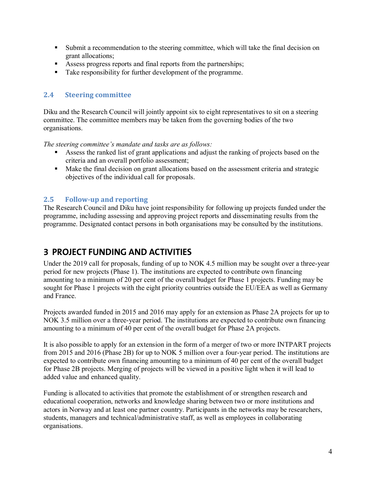- Submit a recommendation to the steering committee, which will take the final decision on grant allocations;
- Assess progress reports and final reports from the partnerships;
- Take responsibility for further development of the programme.

#### **2.4 Steering committee**

Diku and the Research Council will jointly appoint six to eight representatives to sit on a steering committee. The committee members may be taken from the governing bodies of the two organisations.

*The steering committee's mandate and tasks are as follows:* 

- Assess the ranked list of grant applications and adjust the ranking of projects based on the criteria and an overall portfolio assessment;
- Make the final decision on grant allocations based on the assessment criteria and strategic objectives of the individual call for proposals.

#### **2.5 Follow-up and reporting**

The Research Council and Diku have joint responsibility for following up projects funded under the programme, including assessing and approving project reports and disseminating results from the programme. Designated contact persons in both organisations may be consulted by the institutions.

## **3 PROJECT FUNDING AND ACTIVITIES**

Under the 2019 call for proposals, funding of up to NOK 4.5 million may be sought over a three-year period for new projects (Phase 1). The institutions are expected to contribute own financing amounting to a minimum of 20 per cent of the overall budget for Phase 1 projects. Funding may be sought for Phase 1 projects with the eight priority countries outside the EU/EEA as well as Germany and France.

Projects awarded funded in 2015 and 2016 may apply for an extension as Phase 2A projects for up to NOK 3.5 million over a three-year period. The institutions are expected to contribute own financing amounting to a minimum of 40 per cent of the overall budget for Phase 2A projects.

It is also possible to apply for an extension in the form of a merger of two or more INTPART projects from 2015 and 2016 (Phase 2B) for up to NOK 5 million over a four-year period. The institutions are expected to contribute own financing amounting to a minimum of 40 per cent of the overall budget for Phase 2B projects. Merging of projects will be viewed in a positive light when it will lead to added value and enhanced quality.

Funding is allocated to activities that promote the establishment of or strengthen research and educational cooperation, networks and knowledge sharing between two or more institutions and actors in Norway and at least one partner country. Participants in the networks may be researchers, students, managers and technical/administrative staff, as well as employees in collaborating organisations.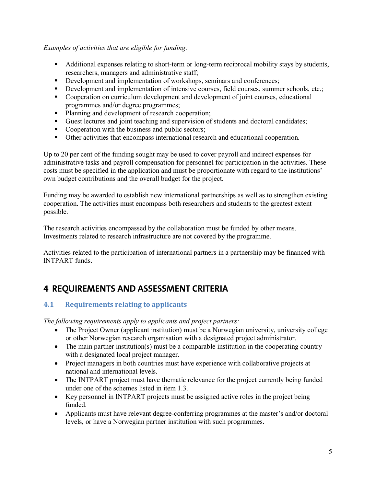#### *Examples of activities that are eligible for funding:*

- Additional expenses relating to short-term or long-term reciprocal mobility stays by students, researchers, managers and administrative staff;
- Development and implementation of workshops, seminars and conferences;
- Development and implementation of intensive courses, field courses, summer schools, etc.;
- Cooperation on curriculum development and development of joint courses, educational programmes and/or degree programmes;
- Planning and development of research cooperation;
- Guest lectures and joint teaching and supervision of students and doctoral candidates;
- Cooperation with the business and public sectors;
- Other activities that encompass international research and educational cooperation.

Up to 20 per cent of the funding sought may be used to cover payroll and indirect expenses for administrative tasks and payroll compensation for personnel for participation in the activities. These costs must be specified in the application and must be proportionate with regard to the institutions' own budget contributions and the overall budget for the project.

Funding may be awarded to establish new international partnerships as well as to strengthen existing cooperation. The activities must encompass both researchers and students to the greatest extent possible.

The research activities encompassed by the collaboration must be funded by other means. Investments related to research infrastructure are not covered by the programme.

Activities related to the participation of international partners in a partnership may be financed with INTPART funds.

# **4 REQUIREMENTS AND ASSESSMENT CRITERIA**

#### **4.1 Requirements relating to applicants**

*The following requirements apply to applicants and project partners:*

- The Project Owner (applicant institution) must be a Norwegian university, university college or other Norwegian research organisation with a designated project administrator.
- The main partner institution(s) must be a comparable institution in the cooperating country with a designated local project manager.
- Project managers in both countries must have experience with collaborative projects at national and international levels.
- The INTPART project must have thematic relevance for the project currently being funded under one of the schemes listed in item 1.3.
- Key personnel in INTPART projects must be assigned active roles in the project being funded.
- Applicants must have relevant degree-conferring programmes at the master's and/or doctoral levels, or have a Norwegian partner institution with such programmes.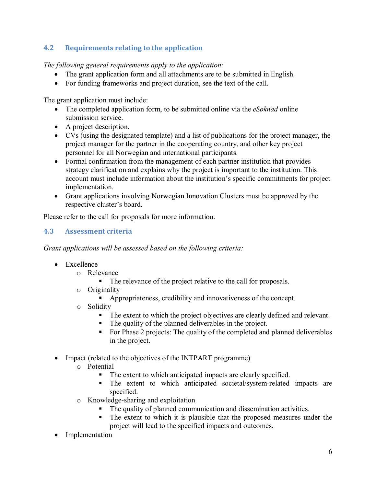## **4.2 Requirements relating to the application**

*The following general requirements apply to the application:* 

- The grant application form and all attachments are to be submitted in English.
- For funding frameworks and project duration, see the text of the call.

The grant application must include:

- The completed application form, to be submitted online via the *eSøknad* online submission service.
- A project description.
- CVs (using the designated template) and a list of publications for the project manager, the project manager for the partner in the cooperating country, and other key project personnel for all Norwegian and international participants.
- Formal confirmation from the management of each partner institution that provides strategy clarification and explains why the project is important to the institution. This account must include information about the institution's specific commitments for project implementation.
- Grant applications involving Norwegian Innovation Clusters must be approved by the respective cluster's board.

Please refer to the call for proposals for more information.

## **4.3 Assessment criteria**

*Grant applications will be assessed based on the following criteria:* 

- Excellence
	- o Relevance
		- The relevance of the project relative to the call for proposals.
	- o Originality
		- Appropriateness, credibility and innovativeness of the concept.
	- o Solidity<br>Γ
		- The extent to which the project objectives are clearly defined and relevant.
		- The quality of the planned deliverables in the project.
		- For Phase 2 projects: The quality of the completed and planned deliverables in the project.
- Impact (related to the objectives of the INTPART programme)
	- o Potential
		- The extent to which anticipated impacts are clearly specified.
		- The extent to which anticipated societal/system-related impacts are specified.
	- o Knowledge-sharing and exploitation
		- The quality of planned communication and dissemination activities.
		- The extent to which it is plausible that the proposed measures under the project will lead to the specified impacts and outcomes.
- **Implementation**